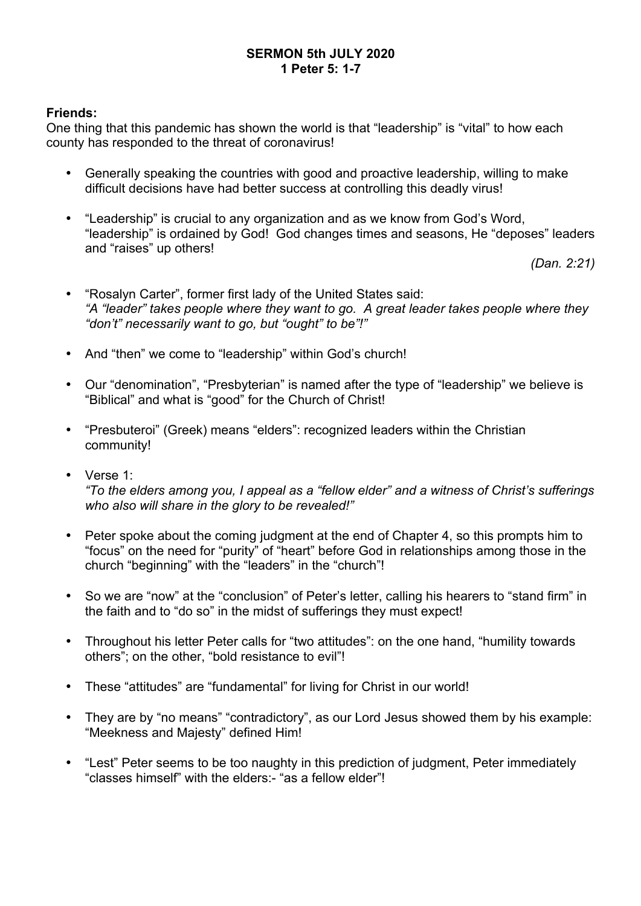### **SERMON 5th JULY 2020 1 Peter 5: 1-7**

### **Friends:**

One thing that this pandemic has shown the world is that "leadership" is "vital" to how each county has responded to the threat of coronavirus!

- Generally speaking the countries with good and proactive leadership, willing to make difficult decisions have had better success at controlling this deadly virus!
- "Leadership" is crucial to any organization and as we know from God's Word, "leadership" is ordained by God! God changes times and seasons, He "deposes" leaders and "raises" up others!

*(Dan. 2:21)*

- "Rosalyn Carter", former first lady of the United States said: *"A "leader" takes people where they want to go. A great leader takes people where they "don't" necessarily want to go, but "ought" to be"!"*
- And "then" we come to "leadership" within God's church!
- Our "denomination", "Presbyterian" is named after the type of "leadership" we believe is "Biblical" and what is "good" for the Church of Christ!
- "Presbuteroi" (Greek) means "elders": recognized leaders within the Christian community!
- Verse 1: *"To the elders among you, I appeal as a "fellow elder" and a witness of Christ's sufferings who also will share in the glory to be revealed!"*
- Peter spoke about the coming judgment at the end of Chapter 4, so this prompts him to "focus" on the need for "purity" of "heart" before God in relationships among those in the church "beginning" with the "leaders" in the "church"!
- So we are "now" at the "conclusion" of Peter's letter, calling his hearers to "stand firm" in the faith and to "do so" in the midst of sufferings they must expect!
- Throughout his letter Peter calls for "two attitudes": on the one hand, "humility towards others"; on the other, "bold resistance to evil"!
- These "attitudes" are "fundamental" for living for Christ in our world!
- They are by "no means" "contradictory", as our Lord Jesus showed them by his example: "Meekness and Majesty" defined Him!
- "Lest" Peter seems to be too naughty in this prediction of judgment, Peter immediately "classes himself" with the elders:- "as a fellow elder"!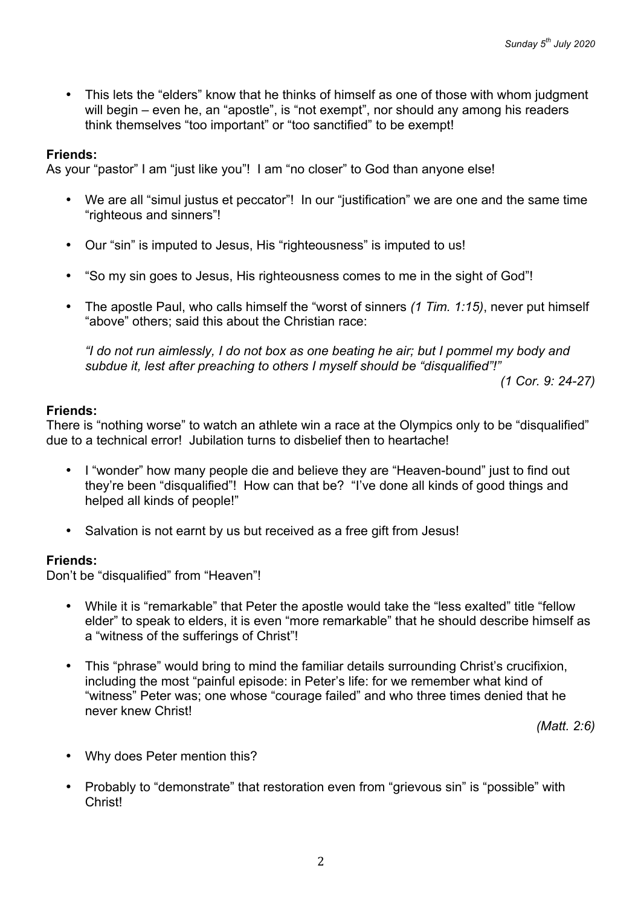• This lets the "elders" know that he thinks of himself as one of those with whom judgment will begin – even he, an "apostle", is "not exempt", nor should any among his readers think themselves "too important" or "too sanctified" to be exempt!

### **Friends:**

As your "pastor" I am "just like you"! I am "no closer" to God than anyone else!

- We are all "simul justus et peccator"! In our "justification" we are one and the same time "righteous and sinners"!
- Our "sin" is imputed to Jesus, His "righteousness" is imputed to us!
- "So my sin goes to Jesus, His righteousness comes to me in the sight of God"!
- The apostle Paul, who calls himself the "worst of sinners *(1 Tim. 1:15)*, never put himself "above" others; said this about the Christian race:

*"I do not run aimlessly, I do not box as one beating he air; but I pommel my body and subdue it, lest after preaching to others I myself should be "disqualified"!"*

*(1 Cor. 9: 24-27)*

### **Friends:**

There is "nothing worse" to watch an athlete win a race at the Olympics only to be "disqualified" due to a technical error! Jubilation turns to disbelief then to heartache!

- I "wonder" how many people die and believe they are "Heaven-bound" just to find out they're been "disqualified"! How can that be? "I've done all kinds of good things and helped all kinds of people!"
- Salvation is not earnt by us but received as a free gift from Jesus!

### **Friends:**

Don't be "disqualified" from "Heaven"!

- While it is "remarkable" that Peter the apostle would take the "less exalted" title "fellow elder" to speak to elders, it is even "more remarkable" that he should describe himself as a "witness of the sufferings of Christ"!
- This "phrase" would bring to mind the familiar details surrounding Christ's crucifixion, including the most "painful episode: in Peter's life: for we remember what kind of "witness" Peter was; one whose "courage failed" and who three times denied that he never knew Christ!

*(Matt. 2:6)*

- Why does Peter mention this?
- Probably to "demonstrate" that restoration even from "grievous sin" is "possible" with Christ!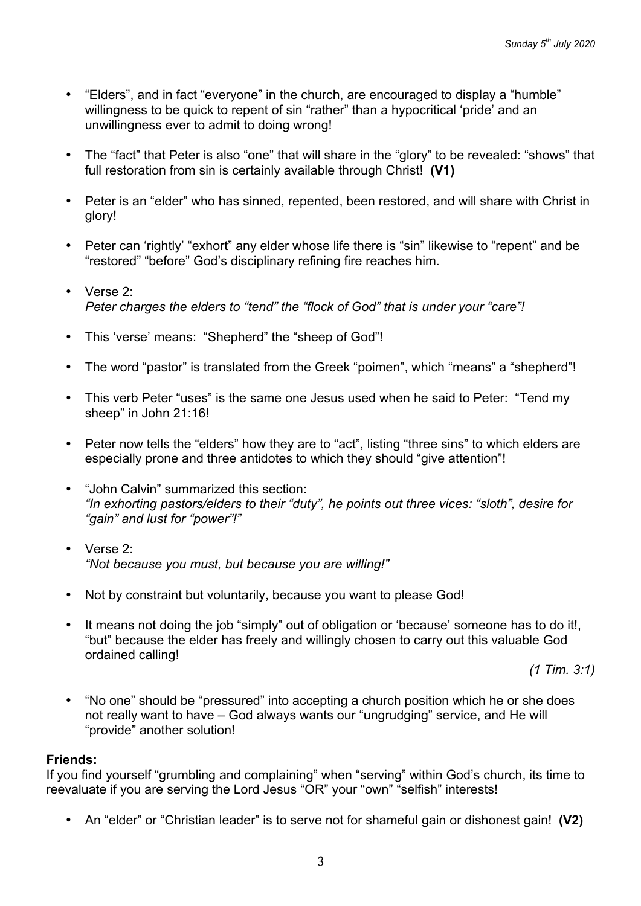- "Elders", and in fact "everyone" in the church, are encouraged to display a "humble" willingness to be quick to repent of sin "rather" than a hypocritical 'pride' and an unwillingness ever to admit to doing wrong!
- The "fact" that Peter is also "one" that will share in the "glory" to be revealed: "shows" that full restoration from sin is certainly available through Christ! **(V1)**
- Peter is an "elder" who has sinned, repented, been restored, and will share with Christ in glory!
- Peter can 'rightly' "exhort" any elder whose life there is "sin" likewise to "repent" and be "restored" "before" God's disciplinary refining fire reaches him.
- Verse 2: *Peter charges the elders to "tend" the "flock of God" that is under your "care"!*
- This 'verse' means: "Shepherd" the "sheep of God"!
- The word "pastor" is translated from the Greek "poimen", which "means" a "shepherd"!
- This verb Peter "uses" is the same one Jesus used when he said to Peter: "Tend my sheep" in John 21:16!
- Peter now tells the "elders" how they are to "act", listing "three sins" to which elders are especially prone and three antidotes to which they should "give attention"!
- "John Calvin" summarized this section: *"In exhorting pastors/elders to their "duty", he points out three vices: "sloth", desire for "gain" and lust for "power"!"*
- Verse 2: *"Not because you must, but because you are willing!"*
- Not by constraint but voluntarily, because you want to please God!
- It means not doing the job "simply" out of obligation or 'because' someone has to do it!, "but" because the elder has freely and willingly chosen to carry out this valuable God ordained calling!

*(1 Tim. 3:1)*

• "No one" should be "pressured" into accepting a church position which he or she does not really want to have – God always wants our "ungrudging" service, and He will "provide" another solution!

### **Friends:**

If you find yourself "grumbling and complaining" when "serving" within God's church, its time to reevaluate if you are serving the Lord Jesus "OR" your "own" "selfish" interests!

• An "elder" or "Christian leader" is to serve not for shameful gain or dishonest gain! **(V2)**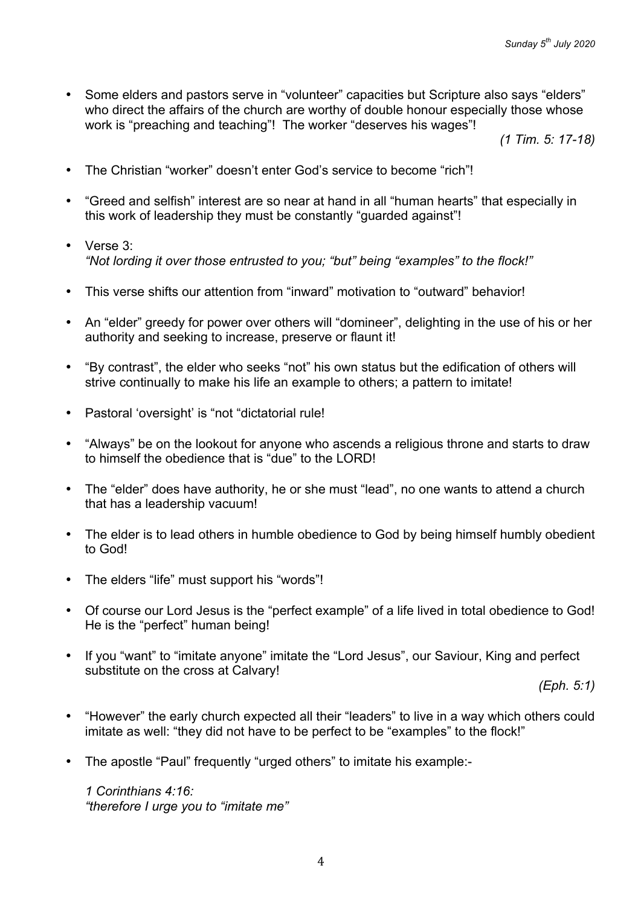• Some elders and pastors serve in "volunteer" capacities but Scripture also says "elders" who direct the affairs of the church are worthy of double honour especially those whose work is "preaching and teaching"! The worker "deserves his wages"!

*(1 Tim. 5: 17-18)*

- The Christian "worker" doesn't enter God's service to become "rich"!
- "Greed and selfish" interest are so near at hand in all "human hearts" that especially in this work of leadership they must be constantly "guarded against"!
- Verse 3: *"Not lording it over those entrusted to you; "but" being "examples" to the flock!"*
- This verse shifts our attention from "inward" motivation to "outward" behavior!
- An "elder" greedy for power over others will "domineer", delighting in the use of his or her authority and seeking to increase, preserve or flaunt it!
- "By contrast", the elder who seeks "not" his own status but the edification of others will strive continually to make his life an example to others; a pattern to imitate!
- Pastoral 'oversight' is "not "dictatorial rule!
- "Always" be on the lookout for anyone who ascends a religious throne and starts to draw to himself the obedience that is "due" to the LORD!
- The "elder" does have authority, he or she must "lead", no one wants to attend a church that has a leadership vacuum!
- The elder is to lead others in humble obedience to God by being himself humbly obedient to God!
- The elders "life" must support his "words"!
- Of course our Lord Jesus is the "perfect example" of a life lived in total obedience to God! He is the "perfect" human being!
- If you "want" to "imitate anyone" imitate the "Lord Jesus", our Saviour, King and perfect substitute on the cross at Calvary!

*(Eph. 5:1)*

- "However" the early church expected all their "leaders" to live in a way which others could imitate as well: "they did not have to be perfect to be "examples" to the flock!"
- The apostle "Paul" frequently "urged others" to imitate his example:-

*1 Corinthians 4:16: "therefore I urge you to "imitate me"*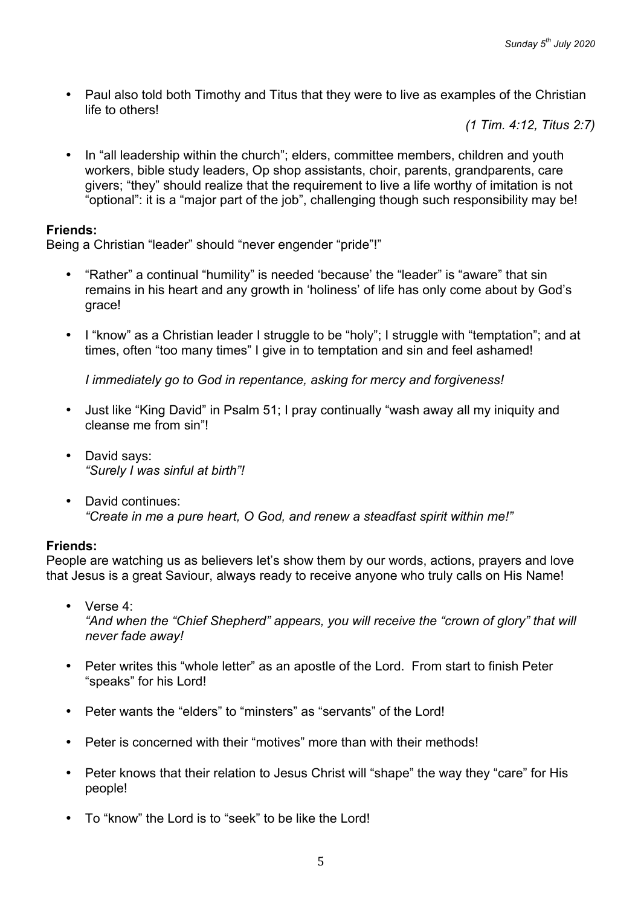• Paul also told both Timothy and Titus that they were to live as examples of the Christian life to others!

*(1 Tim. 4:12, Titus 2:7)*

• In "all leadership within the church"; elders, committee members, children and youth workers, bible study leaders, Op shop assistants, choir, parents, grandparents, care givers; "they" should realize that the requirement to live a life worthy of imitation is not "optional": it is a "major part of the job", challenging though such responsibility may be!

### **Friends:**

Being a Christian "leader" should "never engender "pride"!"

- "Rather" a continual "humility" is needed 'because' the "leader" is "aware" that sin remains in his heart and any growth in 'holiness' of life has only come about by God's grace!
- I "know" as a Christian leader I struggle to be "holy"; I struggle with "temptation"; and at times, often "too many times" I give in to temptation and sin and feel ashamed!

*I immediately go to God in repentance, asking for mercy and forgiveness!*

- Just like "King David" in Psalm 51; I pray continually "wash away all my iniquity and cleanse me from sin"!
- David says: *"Surely I was sinful at birth"!*
- David continues: *"Create in me a pure heart, O God, and renew a steadfast spirit within me!"*

### **Friends:**

People are watching us as believers let's show them by our words, actions, prayers and love that Jesus is a great Saviour, always ready to receive anyone who truly calls on His Name!

- Verse 4: *"And when the "Chief Shepherd" appears, you will receive the "crown of glory" that will never fade away!*
- Peter writes this "whole letter" as an apostle of the Lord. From start to finish Peter "speaks" for his Lord!
- Peter wants the "elders" to "minsters" as "servants" of the Lord!
- Peter is concerned with their "motives" more than with their methods!
- Peter knows that their relation to Jesus Christ will "shape" the way they "care" for His people!
- To "know" the Lord is to "seek" to be like the Lord!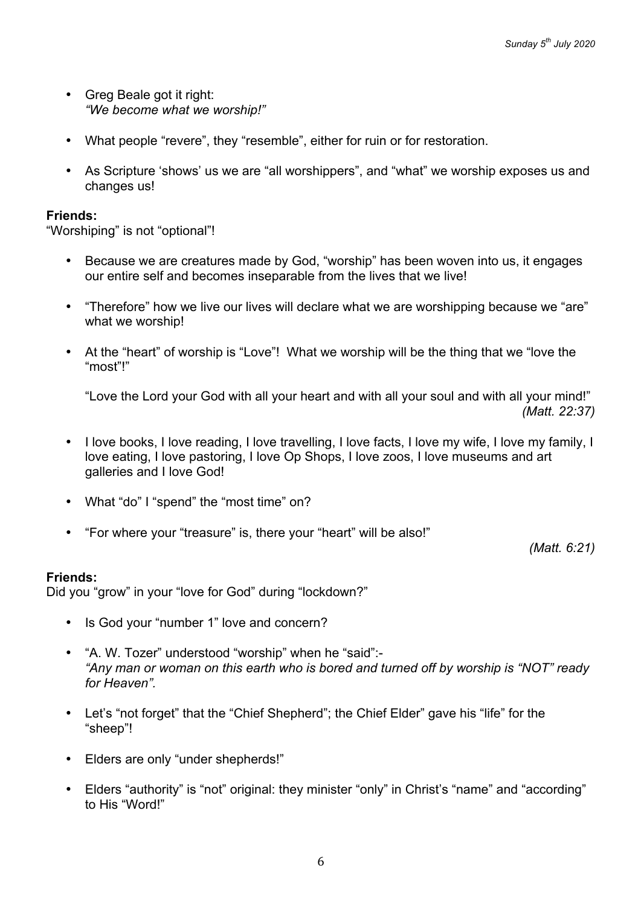- Greg Beale got it right: *"We become what we worship!"*
- What people "revere", they "resemble", either for ruin or for restoration.
- As Scripture 'shows' us we are "all worshippers", and "what" we worship exposes us and changes us!

#### **Friends:**

"Worshiping" is not "optional"!

- Because we are creatures made by God, "worship" has been woven into us, it engages our entire self and becomes inseparable from the lives that we live!
- "Therefore" how we live our lives will declare what we are worshipping because we "are" what we worship!
- At the "heart" of worship is "Love"! What we worship will be the thing that we "love the "most"!"

"Love the Lord your God with all your heart and with all your soul and with all your mind!" *(Matt. 22:37)*

- I love books, I love reading, I love travelling, I love facts, I love my wife, I love my family, I love eating, I love pastoring, I love Op Shops, I love zoos, I love museums and art galleries and I love God!
- What "do" I "spend" the "most time" on?
- "For where your "treasure" is, there your "heart" will be also!"

*(Matt. 6:21)*

### **Friends:**

Did you "grow" in your "love for God" during "lockdown?"

- Is God your "number 1" love and concern?
- "A. W. Tozer" understood "worship" when he "said":- *"Any man or woman on this earth who is bored and turned off by worship is "NOT" ready for Heaven".*
- Let's "not forget" that the "Chief Shepherd"; the Chief Elder" gave his "life" for the "sheep"!
- Elders are only "under shepherds!"
- Elders "authority" is "not" original: they minister "only" in Christ's "name" and "according" to His "Word!"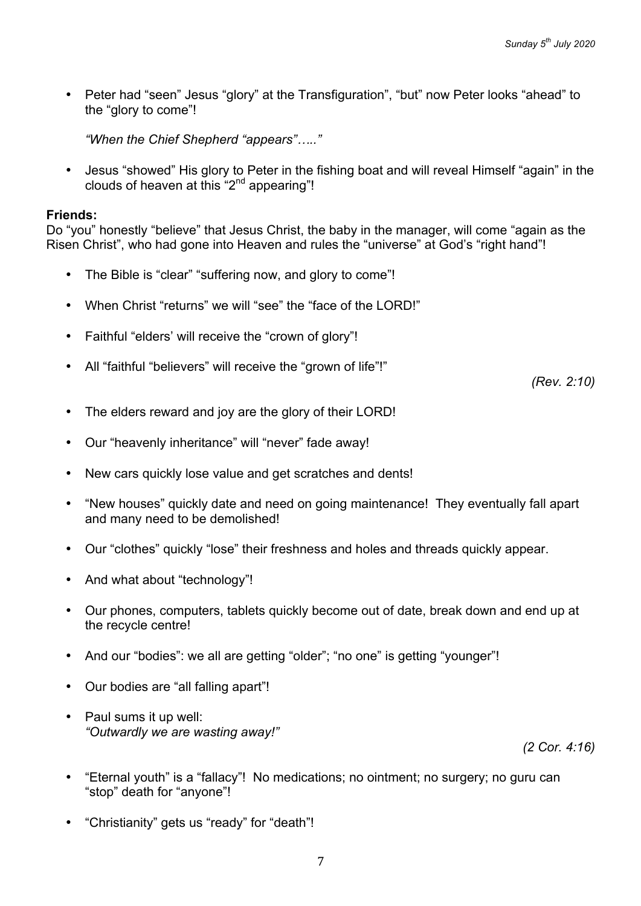• Peter had "seen" Jesus "glory" at the Transfiguration", "but" now Peter looks "ahead" to the "glory to come"!

*"When the Chief Shepherd "appears"….."*

• Jesus "showed" His glory to Peter in the fishing boat and will reveal Himself "again" in the clouds of heaven at this " $2<sup>nd</sup>$  appearing"!

#### **Friends:**

Do "you" honestly "believe" that Jesus Christ, the baby in the manager, will come "again as the Risen Christ", who had gone into Heaven and rules the "universe" at God's "right hand"!

- The Bible is "clear" "suffering now, and glory to come"!
- When Christ "returns" we will "see" the "face of the LORD!"
- Faithful "elders' will receive the "crown of glory"!
- All "faithful "believers" will receive the "grown of life"!"

*(Rev. 2:10)*

- The elders reward and joy are the glory of their LORD!
- Our "heavenly inheritance" will "never" fade away!
- New cars quickly lose value and get scratches and dents!
- "New houses" quickly date and need on going maintenance! They eventually fall apart and many need to be demolished!
- Our "clothes" quickly "lose" their freshness and holes and threads quickly appear.
- And what about "technology"!
- Our phones, computers, tablets quickly become out of date, break down and end up at the recycle centre!
- And our "bodies": we all are getting "older"; "no one" is getting "younger"!
- Our bodies are "all falling apart"!
- Paul sums it up well: *"Outwardly we are wasting away!"*

*(2 Cor. 4:16)*

- "Eternal youth" is a "fallacy"! No medications; no ointment; no surgery; no guru can "stop" death for "anyone"!
- "Christianity" gets us "ready" for "death"!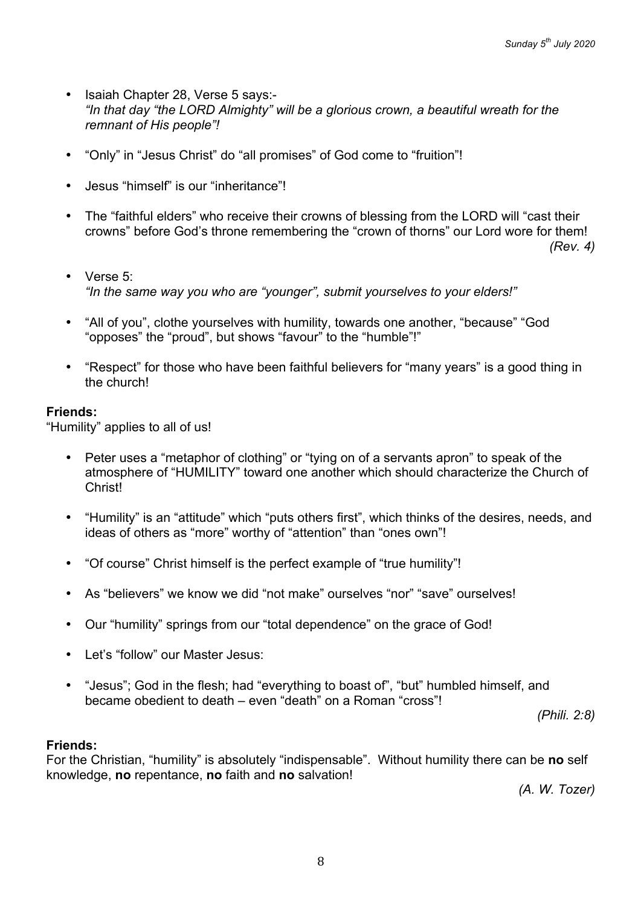- Isaiah Chapter 28, Verse 5 says:- *"In that day "the LORD Almighty" will be a glorious crown, a beautiful wreath for the remnant of His people"!*
- "Only" in "Jesus Christ" do "all promises" of God come to "fruition"!
- Jesus "himself" is our "inheritance"!
- The "faithful elders" who receive their crowns of blessing from the LORD will "cast their crowns" before God's throne remembering the "crown of thorns" our Lord wore for them!

*(Rev. 4)*

- Verse 5: *"In the same way you who are "younger", submit yourselves to your elders!"*
- "All of you", clothe yourselves with humility, towards one another, "because" "God "opposes" the "proud", but shows "favour" to the "humble"!"
- "Respect" for those who have been faithful believers for "many years" is a good thing in the church!

# **Friends:**

"Humility" applies to all of us!

- Peter uses a "metaphor of clothing" or "tying on of a servants apron" to speak of the atmosphere of "HUMILITY" toward one another which should characterize the Church of Christ!
- "Humility" is an "attitude" which "puts others first", which thinks of the desires, needs, and ideas of others as "more" worthy of "attention" than "ones own"!
- "Of course" Christ himself is the perfect example of "true humility"!
- As "believers" we know we did "not make" ourselves "nor" "save" ourselves!
- Our "humility" springs from our "total dependence" on the grace of God!
- Let's "follow" our Master Jesus:
- "Jesus"; God in the flesh; had "everything to boast of", "but" humbled himself, and became obedient to death – even "death" on a Roman "cross"!

*(Phili. 2:8)*

# **Friends:**

For the Christian, "humility" is absolutely "indispensable". Without humility there can be **no** self knowledge, **no** repentance, **no** faith and **no** salvation!

*(A. W. Tozer)*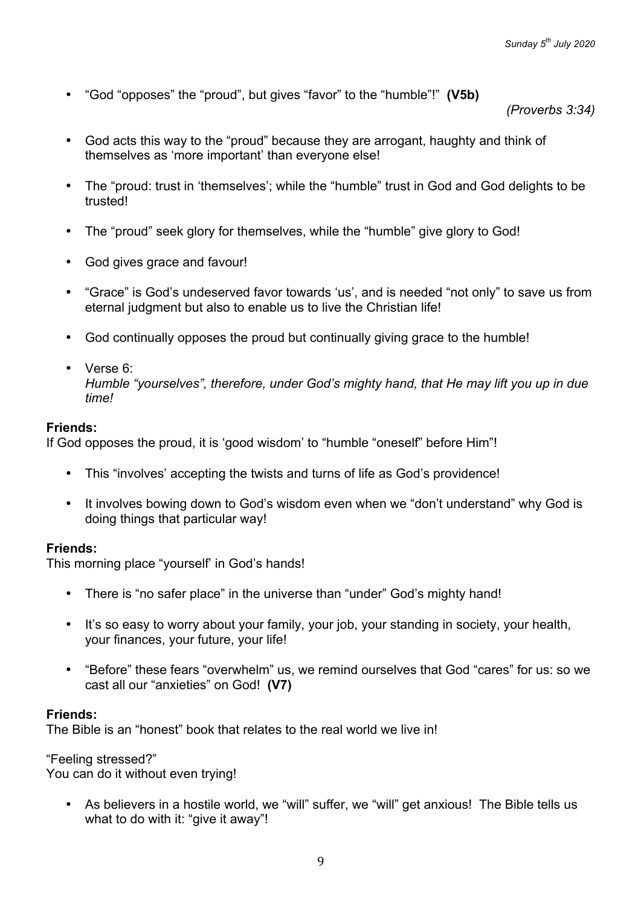• "God "opposes" the "proud", but gives "favor" to the "humble"!" **(V5b)**

*(Proverbs 3:34)*

- God acts this way to the "proud" because they are arrogant, haughty and think of themselves as 'more important' than everyone else!
- The "proud: trust in 'themselves'; while the "humble" trust in God and God delights to be trusted!
- The "proud" seek glory for themselves, while the "humble" give glory to God!
- God gives grace and favour!
- "Grace" is God's undeserved favor towards 'us', and is needed "not only" to save us from eternal judgment but also to enable us to live the Christian life!
- God continually opposes the proud but continually giving grace to the humble!
- Verse 6: *Humble "yourselves", therefore, under God's mighty hand, that He may lift you up in due time!*

# **Friends:**

If God opposes the proud, it is 'good wisdom' to "humble "oneself" before Him"!

- This "involves' accepting the twists and turns of life as God's providence!
- It involves bowing down to God's wisdom even when we "don't understand" why God is doing things that particular way!

### **Friends:**

This morning place "yourself' in God's hands!

- There is "no safer place" in the universe than "under" God's mighty hand!
- It's so easy to worry about your family, your job, your standing in society, your health, your finances, your future, your life!
- "Before" these fears "overwhelm" us, we remind ourselves that God "cares" for us: so we cast all our "anxieties" on God! **(V7)**

### **Friends:**

The Bible is an "honest" book that relates to the real world we live in!

"Feeling stressed?"

You can do it without even trying!

• As believers in a hostile world, we "will" suffer, we "will" get anxious! The Bible tells us what to do with it: "give it away"!